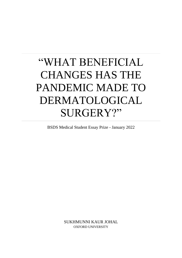# "WHAT BENEFICIAL CHANGES HAS THE PANDEMIC MADE TO DERMATOLOGICAL SURGERY?"

BSDS Medical Student Essay Prize - January 2022

SUKHMUNNI KAUR JOHAL OXFORD UNIVERSITY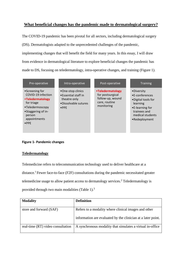## **What beneficial changes has the pandemic made to dermatological surgery?**

The COVID-19 pandemic has been pivotal for all sectors, including dermatological surgery (DS). Dermatologists adapted to the unprecedented challenges of the pandemic, implementing changes that will benefit the field for many years. In this essay, I will draw from evidence in dermatological literature to explore beneficial changes the pandemic has made to DS, focusing on teledermatology, intra-operative changes, and training (Figure 1).

| Pre-operative                                                                                                                                              | Intra-operative                                                                                   | Post-operative                                                                          | <b>Training</b>                                                                                                                                 |
|------------------------------------------------------------------------------------------------------------------------------------------------------------|---------------------------------------------------------------------------------------------------|-----------------------------------------------------------------------------------------|-------------------------------------------------------------------------------------------------------------------------------------------------|
| •Screening for<br>COVID-19 infection<br>•Teledermatology<br>for triage<br>•Teledermoscopy<br>•Staggering of in-<br>person<br>appointments<br>$\bullet$ PPE | •One-stop clinics<br>•Essential staff in<br>theatre only<br>•Dissolvable sutures<br>$\bullet$ PPE | •Teledermatology<br>for postsurgical<br>follow-up, wound<br>care, routine<br>monitoring | •Diversity<br>$\bullet$ E-conferences<br>.Digital tools for<br>learning<br>•E-learning for<br>trainees and<br>medical students<br>•Redeployment |

#### **Figure 1- Pandemic changes**

#### **Teledermatology**

Telemedicine refers to telecommunication technology used to deliver healthcare at a distance.<sup>1</sup> Fewer face-to-face (F2F) consultations during the pandemic necessitated greater telemedicine usage to allow patient access to dermatology services.<sup>2</sup> Teledermatology is provided through two main modalities (Table 1).<sup>3</sup>

| <b>Modality</b>                   | <b>Definition</b>                                                                                                    |
|-----------------------------------|----------------------------------------------------------------------------------------------------------------------|
| store and forward (SAF)           | Refers to a modality where clinical images and other<br>information are evaluated by the clinician at a later point. |
| real-time (RT) video consultation | A synchronous modality that simulates a virtual in-office                                                            |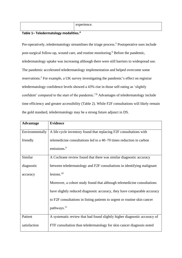| erience.<br>$\sqrt{2}$ |
|------------------------|
|                        |

# **Table 1– Teledermatology modalities.<sup>4</sup>**

Pre-operatively, teledermatology streamlines the triage process.<sup>5</sup> Postoperative uses include post-surgical follow-up, wound care, and routine monitoring.<sup>6</sup> Before the pandemic, teledermatology uptake was increasing although there were still barriers to widespread use. The pandemic accelerated teledermatology implementation and helped overcome some reservations. <sup>2</sup> For example, a UK survey investigating the pandemic's effect on registrar teledermatology confidence levels showed a 43% rise in those self-rating as 'slightly confident' compared to the start of the pandemic.<sup>7,8</sup> Advantages of teledermatology include time efficiency and greater accessibility (Table 2). While F2F consultations will likely remain the gold standard, teledermatology may be a strong future adjunct in DS.

| <b>Advantage</b> | <b>Evidence</b>                                                           |
|------------------|---------------------------------------------------------------------------|
| Environmentally  | A life cycle inventory found that replacing F2F consultations with        |
| friendly         | telemedicine consultations led to a 40–70 times reduction in carbon       |
|                  | emissions. <sup>9</sup>                                                   |
| Similar          | A Cochrane review found that there was similar diagnostic accuracy        |
| diagnostic       | between teledermatology and F2F consultations in identifying malignant    |
| accuracy         | lesions. $10$                                                             |
|                  | Moreover, a cohort study found that although telemedicine consultations   |
|                  | have slightly reduced diagnostic accuracy, they have comparable accuracy  |
|                  | to F2F consultations in listing patients to urgent or routine skin cancer |
|                  | pathways. <sup>11</sup>                                                   |
| Patient          | A systematic review that had found slightly higher diagnostic accuracy of |
| satisfaction     | FTF consultation than teledermatology for skin cancer diagnosis noted     |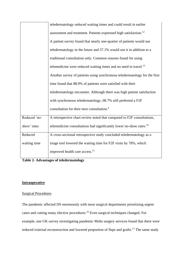|              | teledermatology reduced waiting times and could result in earlier               |
|--------------|---------------------------------------------------------------------------------|
|              | assessment and treatment. Patients expressed high satisfaction. <sup>12</sup>   |
|              | A patient survey found that nearly one-quarter of patients would use            |
|              | teledermatology in the future and 57.1% would use it in addition to a           |
|              | traditional consultation only. Common reasons found for using                   |
|              | telemedicine were reduced waiting times and no need to travel. <sup>13</sup>    |
|              | Another survey of patients using synchronous teledermatology for the first      |
|              | time found that 88.9% of patients were satisfied with their                     |
|              | teledermatology encounter. Although there was high patient satisfaction         |
|              | with synchronous teledermatology, 68.7% still preferred a F2F                   |
|              | consultation for their next consultation. <sup>4</sup>                          |
| Reduced 'no- | A retrospective chart review noted that compared to F2F consultations,          |
| show' rates  | telemedicine consultations had significantly lower no-show rates. <sup>14</sup> |
| Reduced      | A cross-sectional retrospective study concluded teledermatology as a            |
| waiting time | triage tool lowered the waiting time for F2F visits by 78%, which               |
|              | improved health care access. <sup>15</sup>                                      |

**Table 2- Advantages of teledermatology**

### **Intraoperative**

## Surgical Procedures

The pandemic affected DS enormously with most surgical departments prioritising urgent cases and cutting many elective procedures.<sup>16</sup> Even surgical techniques changed. For example, one UK survey investigating pandemic Mohs surgery services found that there were reduced external reconstruction and lowered proportion of flaps and grafts.<sup>17</sup> The same study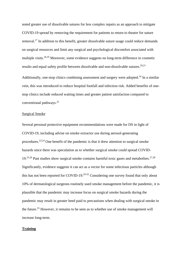noted greater use of dissolvable sutures for less complex repairs as an approach to mitigate COVID-19 spread by removing the requirement for patients to return to theatre for suture removal.<sup>17</sup> In addition to this benefit, greater dissolvable suture usage could reduce demands on surgical resources and limit any surgical and psychological discomfort associated with multiple visits.<sup>18,19</sup> Moreover, some evidence suggests no long-term difference in cosmetic results and equal safety profile between dissolvable and non-dissolvable sutures.<sup>20,21</sup>

Additionally, one-stop clinics combining assessment and surgery were adopted.<sup>16</sup> In a similar vein, this was introduced to reduce hospital footfall and infection risk. Added benefits of onestop clinics include reduced waiting times and greater patient satisfaction compared to conventional pathways.<sup>22</sup>

#### Surgical Smoke

Several personal protective equipment recommendations were made for DS in light of COVID-19, including advise on smoke extractor use during aerosol-generating procedures.<sup>23,24</sup> One benefit of the pandemic is that it drew attention to surgical smoke hazards since there was speculation as to whether surgical smoke could spread COVID- $19.25,26$  Past studies show surgical smoke contains harmful toxic gases and metabolites.<sup>27,28</sup> Significantly, evidence suggests it can act as a vector for some infectious particles although this has not been reported for COVID-19.<sup>29-32</sup> Considering one survey found that only about 10% of dermatological surgeons routinely used smoke management before the pandemic, it is plausible that the pandemic may increase focus on surgical smoke hazards during the pandemic may result in greater heed paid to precautions when dealing with surgical smoke in the future.<sup>33</sup> However, it remains to be seen as to whether use of smoke management will increase long-term.

#### **Training**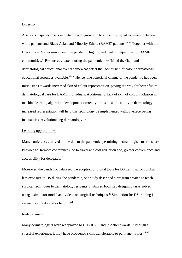#### Diversity

A serious disparity exists in melanoma diagnosis, outcome and surgical treatment between white patients and Black Asian and Minority Ethnic (BAME) patients.<sup>34-36</sup> Together with the Black Lives Matter movement, the pandemic highlighted health inequalities for BAME communities.<sup>37</sup> Resources created during the pandemic like 'Mind the Gap' and dermatological educational events somewhat offset the lack of skin of colour dermatology educational resources available.<sup>38-40</sup> Hence, one beneficial change of the pandemic has been initial steps towards increased skin of colour representation, paving the way for better future dermatological care for BAME individuals. Additionally, lack of skin of colour inclusion in machine learning algorithm development currently limits its applicability in dermatology; increased representation will help this technology be implemented without exacerbating inequalities, revolutionising dermatology.<sup>41</sup>

#### Learning opportunities

Many conferences moved online due to the pandemic, permitting dermatologists to still share knowledge. Remote conferences led to travel and cost reduction and, greater convenience and accessibility for delegates. 42

Moreover, the pandemic catalysed the adoption of digital tools for DS training. To combat less exposure to DS during the pandemic, one study described a program created to teach surgical techniques to dermatology residents. It utilised both flap designing tasks solved using a simulator model and videos on surgical techniques.<sup>43</sup> Simulation for DS training is viewed positively and as helpful.<sup>44</sup>

#### Redeployment

Many dermatologists were redeployed to COVID-19 and in-patient wards. Although a stressful experience, it may have broadened skills transferrable to permanent roles.<sup>45-47</sup>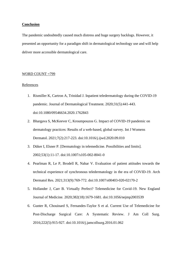#### **Conclusion**

The pandemic undoubtedly caused much distress and huge surgery backlogs. However, it presented an opportunity for a paradigm shift in dermatological technology use and will help deliver more accessible dermatological care.

#### WORD COUNT =799

#### References

- 1. Rismiller K, Cartron A, Trinidad J. Inpatient teledermatology during the COVID-19 pandemic. Journal of Dermatological Treatment. 2020;31(5):441-443. doi:10.1080/09546634.2020.1762843
- 2. Bhargava S, McKeever C, Kroumpouzos G. Impact of COVID-19 pandemic on dermatology practices: Results of a web-based, global survey. Int J Womens Dermatol. 2021;7(2):217-223. doi:10.1016/j.ijwd.2020.09.010
- 3. Düker I, Elsner P. [Dermatology in telemedicine. Possibilities and limits]. 2002;53(1):11-17. doi:10.1007/s105-002-8041-0
- 4. Pearlman R, Le P, Brodell R, Nahar V. Evaluation of patient attitudes towards the technical experience of synchronous teledermatology in the era of COVID-19. Arch Dermatol Res. 2021;313(9):769-772. doi:10.1007/s00403-020-02170-2
- 5. Hollander J, Carr B. Virtually Perfect? Telemedicine for Covid-19. New England Journal of Medicine. 2020;382(18):1679-1681. doi:10.1056/nejmp2003539
- 6. Gunter R, Chouinard S, Fernandes-Taylor S et al. Current Use of Telemedicine for Post-Discharge Surgical Care: A Systematic Review. J Am Coll Surg. 2016;222(5):915-927. doi:10.1016/j.jamcollsurg.2016.01.062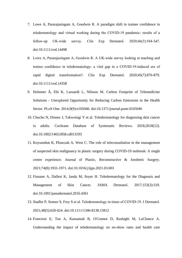- 7. Lowe A, Pararajasingam A, Goodwin R. A paradigm shift in trainee confidence in teledermatology and virtual working during the COVID‐19 pandemic: results of a follow‐up UK‐wide survey. Clin Exp Dermatol. 2020;46(3):544-547. doi:10.1111/ced.14498
- 8. Lowe A, Pararajasingam A, Goodwin R. A UK‐wide survey looking at teaching and trainee confidence in teledermatology: a vital gap in a COVID‐19‐induced era of rapid digital transformation?. Clin Exp Dermatol. 2020;45(7):876-879. doi:10.1111/ced.14358
- 9. Holmner Å, Ebi K, Lazuardi L, Nilsson M. Carbon Footprint of Telemedicine Solutions - Unexplored Opportunity for Reducing Carbon Emissions in the Health Sector. PLoS One. 2014;9(9):e105040. doi:10.1371/journal.pone.0105040
- 10. Chuchu N, Dinnes J, Takwoingi Y et al. Teledermatology for diagnosing skin cancer in adults. Cochrane Database of Systematic Reviews. 2018;2018(12). doi:10.1002/14651858.cd013193
- 11. Koysombat K, Plonczak A, West C. The role of teleconsultation in the management of suspected skin malignancy in plastic surgery during COVID-19 outbreak: A single centre experience. Journal of Plastic, Reconstructive & Aesthetic Surgery. 2021;74(8):1931-1971. doi:10.1016/j.bjps.2021.03.003
- 12. Finnane A, Dallest K, Janda M, Soyer H. Teledermatology for the Diagnosis and Management of Skin Cancer. JAMA Dermatol. 2017;153(3):319. doi:10.1001/jamadermatol.2016.4361
- 13. Stadler P, Senner S, Frey S et al. Teledermatology in times of COVID‐19. J Dermatol. 2021;48(5):620-624. doi:10.1111/1346-8138.15812
- 14. Franciosi E, Tan A, Kassamali B, O'Connor D, Rashighi M, LaChance A. Understanding the impact of teledermatology on no-show rates and health care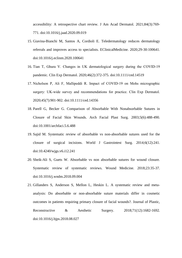accessibility: A retrospective chart review. J Am Acad Dermatol. 2021;84(3):769- 771. doi:10.1016/j.jaad.2020.09.019

- 15. Giavina-Bianchi M, Santos A, Cordioli E. Teledermatology reduces dermatology referrals and improves access to specialists. EClinicalMedicine. 2020;29-30:100641. doi:10.1016/j.eclinm.2020.100641
- 16. Tian T, Ghura V. Changes in UK dermatological surgery during the COVID‐19 pandemic. Clin Exp Dermatol. 2020;46(2):372-375. doi:10.1111/ced.14519
- 17. Nicholson P, Ali F, Mallipeddi R. Impact of COVID‐19 on Mohs micrographic surgery: UK-wide survey and recommendations for practice. Clin Exp Dermatol. 2020;45(7):901-902. doi:10.1111/ced.14356
- 18. Parell G, Becker G. Comparison of Absorbable With Nonabsorbable Sutures in Closure of Facial Skin Wounds. Arch Facial Plast Surg. 2003;5(6):488-490. doi:10.1001/archfaci.5.6.488
- 19. Sajid M. Systematic review of absorbable vs non-absorbable sutures used for the closure of surgical incisions. World J Gastrointest Surg. 2014;6(12):241. doi:10.4240/wjgs.v6.i12.241
- 20. Sheik-Ali S, Guets W. Absorbable vs non absorbable sutures for wound closure. Systematic review of systematic reviews. Wound Medicine. 2018;23:35-37. doi:10.1016/j.wndm.2018.09.004

21. Gillanders S, Anderson S, Mellon L, Heskin L. A systematic review and metaanalysis: Do absorbable or non-absorbable suture materials differ in cosmetic outcomes in patients requiring primary closure of facial wounds?. Journal of Plastic, Reconstructive & Aesthetic Surgery. 2018;71(12):1682-1692. doi:10.1016/j.bjps.2018.08.027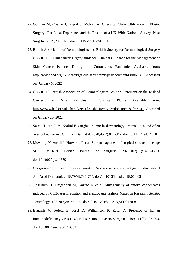- 22. Gorman M, Coelho J, Gujral S, McKay A. One-Stop Clinic Utilization in Plastic Surgery: Our Local Experience and the Results of a UK-Wide National Survey. Plast Surg Int. 2015;2015:1-8. doi:10.1155/2015/747961
- 23. British Association of Dermatologists and British Society for Dermatological Surgery COVID-19 – Skin cancer surgery guidance. Clinical Guidance for the Management of Skin Cancer Patients During the Coronavirus Pandemic. Available from: [http://www.bad.org.uk/shared/get-file.ashx?itemtype=document&id=6658.](http://www.bad.org.uk/shared/get-file.ashx?itemtype=document&id=6658) Accessed on: January 6, 2022
- 24. COVID-19: British Association of Dermatologists Position Statement on the Risk of Cancer from Viral Particles in Surgical Plume. Available from: [https://www.bad.org.uk/shared/get-file.ashx?itemtype=document&id=7101.](https://www.bad.org.uk/shared/get-file.ashx?itemtype=document&id=7101) Accessed on January 26, 2022
- 25. Searle T, Ali F, Al‐Niaimi F. Surgical plume in dermatology: an insidious and often overlooked hazard. Clin Exp Dermatol. 2020;45(7):841-847. doi:10.1111/ced.14350
- 26. Mowbray N, Ansell J, Horwood J et al. Safe management of surgical smoke in the age of COVID-19. British Journal of Surgery. 2020;107(11):1406-1413. doi:10.1002/bjs.11679
- 27. Georgesen C, Lipner S. Surgical smoke: Risk assessment and mitigation strategies. J Am Acad Dermatol. 2018;79(4):746-755. doi:10.1016/j.jaad.2018.06.003
- 28. Yoshifumi T, Shigenobu M, Kazuto N et al. Mutagenicity of smoke condensates induced by CO2-laser irradiation and electrocauterization. Mutation Research/Genetic Toxicology. 1981;89(2):145-149. doi:10.1016/0165-1218(81)90120-8
- 29. Baggish M, Polesz B, Joret D, Williamson P, Refai A. Presence of human immunodeficiency virus DNA in laser smoke. Lasers Surg Med. 1991;11(3):197-203. doi:10.1002/lsm.1900110302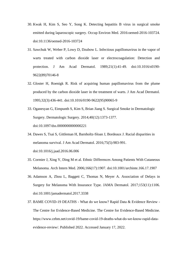- 30. Kwak H, Kim S, Seo Y, Song K. Detecting hepatitis B virus in surgical smoke emitted during laparoscopic surgery. Occup Environ Med. 2016:oemed-2016-103724. doi:10.1136/oemed-2016-103724
- 31. Sawchuk W, Weber P, Lowy D, Dzubow L. Infectious papillomavirus in the vapor of warts treated with carbon dioxide laser or electrocoagulation: Detection and protection. J Am Acad Dermatol. 1989;21(1):41-49. doi:10.1016/s0190- 9622(89)70146-8
- 32. Gloster H, Roenigk R. Risk of acquiring human papillomavirus from the plume produced by the carbon dioxide laser in the treatment of warts. J Am Acad Dermatol. 1995;32(3):436-441. doi:10.1016/0190-9622(95)90065-9
- 33. Oganesyan G, Eimpunth S, Kim S, Brian Jiang S. Surgical Smoke in Dermatologic Surgery. Dermatologic Surgery. 2014;40(12):1373-1377. doi:10.1097/dss.0000000000000221
- 34. Dawes S, Tsai S, Gittleman H, Barnholtz-Sloan J, Bordeaux J. Racial disparities in melanoma survival. J Am Acad Dermatol. 2016;75(5):983-991. doi:10.1016/j.jaad.2016.06.006
- 35. Cormier J, Xing Y, Ding M et al. Ethnic Differences Among Patients With Cutaneous Melanoma. Arch Intern Med. 2006;166(17):1907. doi:10.1001/archinte.166.17.1907
- 36. Adamson A, Zhou L, Baggett C, Thomas N, Meyer A. Association of Delays in Surgery for Melanoma With Insurance Type. JAMA Dermatol. 2017;153(11):1106. doi:10.1001/jamadermatol.2017.3338
- 37. BAME COVID-19 DEATHS What do we know? Rapid Data & Evidence Review The Centre for Evidence-Based Medicine. The Centre for Evidence-Based Medicine. https://www.cebm.net/covid-19/bame-covid-19-deaths-what-do-we-know-rapid-dataevidence-review/. Published 2022. Accessed January 17, 2022.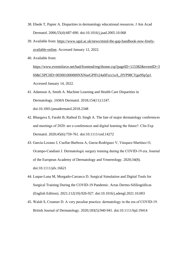- 38. Ebede T, Papier A. Disparities in dermatology educational resources. J Am Acad Dermatol. 2006;55(4):687-690. doi:10.1016/j.jaad.2005.10.068
- 39. Available from: [https://www.sgul.ac.uk/news/mind-the-gap-handbook-now-freely](https://www.sgul.ac.uk/news/mind-the-gap-handbook-now-freely-available-online)[available-online.](https://www.sgul.ac.uk/news/mind-the-gap-handbook-now-freely-available-online) Accessed January 12, 2022.
- 40. Available from:

[https://www.eventsforce.net/bad/frontend/reg/thome.csp?pageID=115382&eventID=3](https://www.eventsforce.net/bad/frontend/reg/thome.csp?pageID=115382&eventID=369&CSPCHD=003001000000NXNueGPfFr24a0Fizx1uA_JIYP98CYgu9Sp5p1) [69&CSPCHD=003001000000NXNueGPfFr24a0Fizx1uA\\_JIYP98CYgu9Sp5p1.](https://www.eventsforce.net/bad/frontend/reg/thome.csp?pageID=115382&eventID=369&CSPCHD=003001000000NXNueGPfFr24a0Fizx1uA_JIYP98CYgu9Sp5p1) Accessed January 14, 2022.

- 41. Adamson A, Smith A. Machine Learning and Health Care Disparities in Dermatology. JAMA Dermatol. 2018;154(11):1247. doi:10.1001/jamadermatol.2018.2348
- 42. Bhargava S, Farabi B, Rathod D, Singh A. The fate of major dermatology conferences and meetings of 2020: are e-conferences and digital learning the future?. Clin Exp Dermatol. 2020;45(6):759-761. doi:10.1111/ced.14272
- 43. García‐Lozano J, Cuellar‐Barboza A, Garza‐Rodríguez V, Vázquez‐Martínez O, Ocampo‐Candiani J. Dermatologic surgery training during the COVID‐19 era. Journal of the European Academy of Dermatology and Venereology. 2020;34(8). doi:10.1111/jdv.16621
- 44. Luque-Luna M, Morgado-Carrasco D. Surgical Simulation and Digital Tools for Surgical Training During the COVID-19 Pandemic. Actas Dermo-Sifiliográficas (English Edition). 2021;112(10):926-927. doi:10.1016/j.adengl.2021.10.003
- 45. Walsh S, Creamer D. A very peculiar practice: dermatology in the era of COVID‐19. British Journal of Dermatology. 2020;183(5):940-941. doi:10.1111/bjd.19414